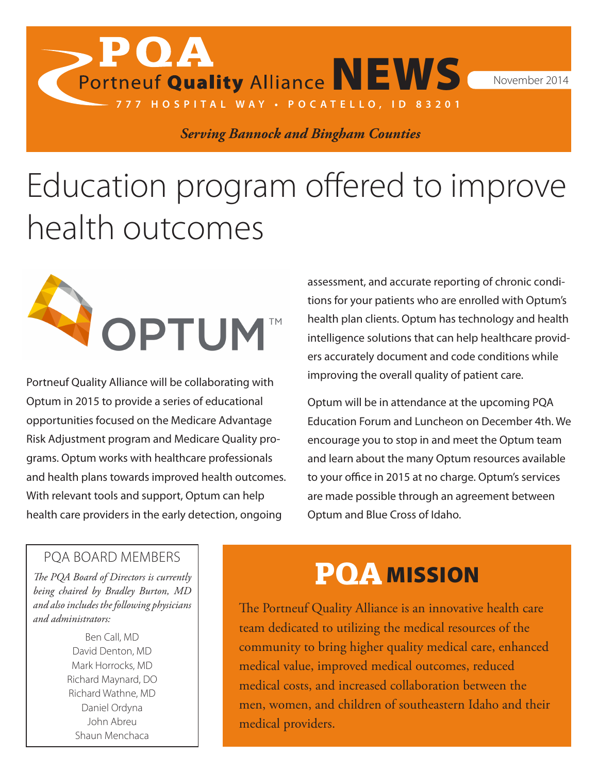Portneuf Quality Alliance NEWS November 2014

*Serving Bannock and Bingham Counties*

**777 HOSPITAL WAY • POCATELLO, ID 83201**

# Education program offered to improve health outcomes



**POA** 

Portneuf Quality Alliance will be collaborating with Optum in 2015 to provide a series of educational opportunities focused on the Medicare Advantage Risk Adjustment program and Medicare Quality programs. Optum works with healthcare professionals and health plans towards improved health outcomes. With relevant tools and support, Optum can help health care providers in the early detection, ongoing

assessment, and accurate reporting of chronic conditions for your patients who are enrolled with Optum's health plan clients. Optum has technology and health intelligence solutions that can help healthcare providers accurately document and code conditions while improving the overall quality of patient care.

Optum will be in attendance at the upcoming PQA Education Forum and Luncheon on December 4th. We encourage you to stop in and meet the Optum team and learn about the many Optum resources available to your office in 2015 at no charge. Optum's services are made possible through an agreement between Optum and Blue Cross of Idaho.

#### PQA BOARD MEMBERS

*The PQA Board of Directors is currently being chaired by Bradley Burton, MD and also includes the following physicians and administrators:*

> Ben Call, MD David Denton, MD Mark Horrocks, MD Richard Maynard, DO Richard Wathne, MD Daniel Ordyna John Abreu Shaun Menchaca

#### PQA MISSION

The Portneuf Quality Alliance is an innovative health care team dedicated to utilizing the medical resources of the community to bring higher quality medical care, enhanced medical value, improved medical outcomes, reduced medical costs, and increased collaboration between the men, women, and children of southeastern Idaho and their medical providers.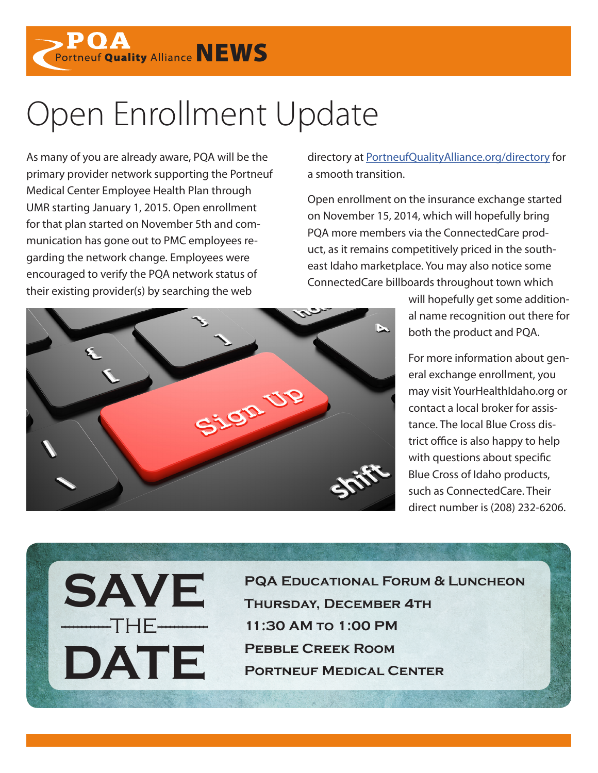Portneuf Quality Alliance NEWS

#### Open Enrollment Update

As many of you are already aware, PQA will be the primary provider network supporting the Portneuf Medical Center Employee Health Plan through UMR starting January 1, 2015. Open enrollment for that plan started on November 5th and communication has gone out to PMC employees regarding the network change. Employees were encouraged to verify the PQA network status of their existing provider(s) by searching the web

**SAVE**

**DATE**

------------THE------------

directory at [PortneufQualityAlliance.org/directory](http://www.PortneufQualityAlliance.org/directory) for a smooth transition.

Open enrollment on the insurance exchange started on November 15, 2014, which will hopefully bring PQA more members via the ConnectedCare product, as it remains competitively priced in the southeast Idaho marketplace. You may also notice some ConnectedCare billboards throughout town which



For more information about general exchange enrollment, you may visit YourHealthIdaho.org or contact a local broker for assistance. The local Blue Cross district office is also happy to help with questions about specific Blue Cross of Idaho products, such as ConnectedCare. Their direct number is (208) 232-6206.



**PQA Educational Forum & Luncheon Thursday, December 4th 11:30 AM to 1:00 PM Pebble Creek Room Portneuf Medical Center**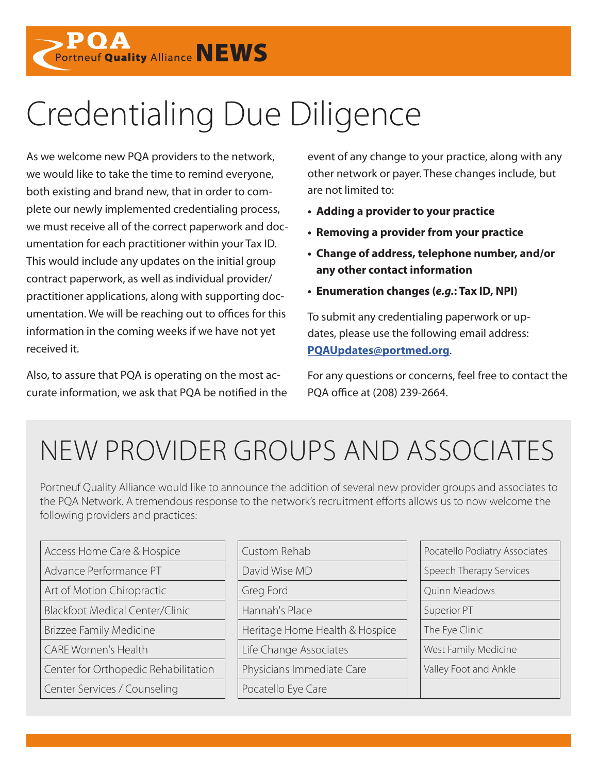

## Credentialing Due Diligence

As we welcome new PQA providers to the network, we would like to take the time to remind everyone, both existing and brand new, that in order to complete our newly implemented credentialing process, we must receive all of the correct paperwork and documentation for each practitioner within your Tax ID. This would include any updates on the initial group contract paperwork, as well as individual provider/ practitioner applications, along with supporting documentation. We will be reaching out to offices for this information in the coming weeks if we have not yet received it.

Also, to assure that PQA is operating on the most accurate information, we ask that PQA be notified in the event of any change to your practice, along with any other network or payer. These changes include, but are not limited to:

- **• Adding a provider to your practice**
- **• Removing a provider from your practice**
- **• Change of address, telephone number, and/or any other contact information**
- **• Enumeration changes (***e.g.***: Tax ID, NPI)**

To submit any credentialing paperwork or updates, please use the following email address: **[PQAUpdates@portmed.org](mailto:PQAUpdates%40portmed.org?subject=Updates)**.

For any questions or concerns, feel free to contact the PQA office at (208) 239-2664.

#### NEW PROVIDER GROUPS AND ASSOCIATES

Portneuf Quality Alliance would like to announce the addition of several new provider groups and associates to the PQA Network. A tremendous response to the network's recruitment efforts allows us to now welcome the following providers and practices:

| Access Home Care & Hospice             | Custom Rehab       |
|----------------------------------------|--------------------|
| Advance Performance PT                 | David Wise MD      |
| Art of Motion Chiropractic             | Greg Ford          |
| <b>Blackfoot Medical Center/Clinic</b> | Hannah's Place     |
| <b>Brizzee Family Medicine</b>         | Heritage Home He   |
| <b>CARE Women's Health</b>             | Life Change Assoc  |
| Center for Orthopedic Rehabilitation   | Physicians Immed   |
| Center Services / Counseling           | Pocatello Eye Care |

| Access Home Care & Hospice             | Custom Rehab                   | Pocatello Podiatry Associates |
|----------------------------------------|--------------------------------|-------------------------------|
| Advance Performance PT                 | David Wise MD                  | Speech Therapy Services       |
| Art of Motion Chiropractic             | Greg Ford                      | Quinn Meadows                 |
| <b>Blackfoot Medical Center/Clinic</b> | Hannah's Place                 | Superior PT                   |
| <b>Brizzee Family Medicine</b>         | Heritage Home Health & Hospice | The Eye Clinic                |
| <b>CARE Women's Health</b>             | Life Change Associates         | West Family Medicine          |
| Center for Orthopedic Rehabilitation   | Physicians Immediate Care      | Valley Foot and Ankle         |
| Center Services / Counseling           | Pocatello Eye Care             |                               |
|                                        |                                |                               |

| Pocatello Podiatry Associates |  |
|-------------------------------|--|
| Speech Therapy Services       |  |
| Quinn Meadows                 |  |
| Superior PT                   |  |
| The Eye Clinic                |  |
| West Family Medicine          |  |
| Valley Foot and Ankle         |  |
|                               |  |